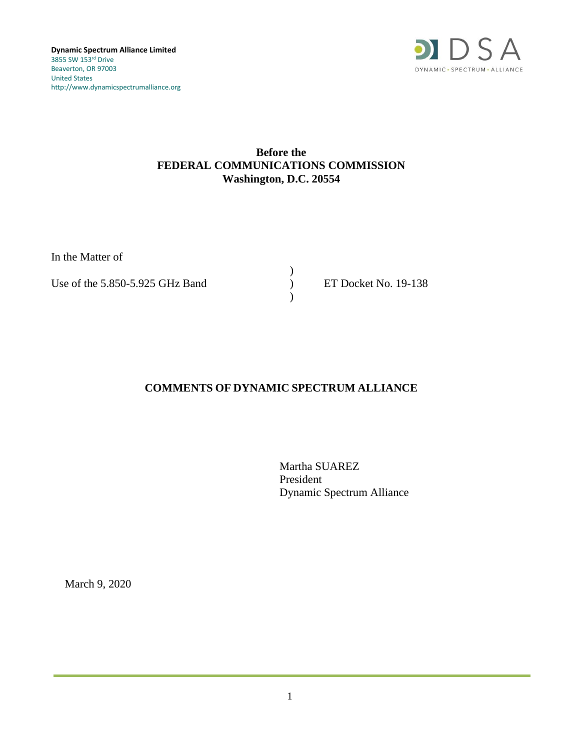

## **Before the FEDERAL COMMUNICATIONS COMMISSION Washington, D.C. 20554**

In the Matter of

Use of the 5.850-5.925 GHz Band  $\overrightarrow{P}$  ET Docket No. 19-138

) )

## **COMMENTS OF DYNAMIC SPECTRUM ALLIANCE**

Martha SUAREZ President Dynamic Spectrum Alliance

March 9, 2020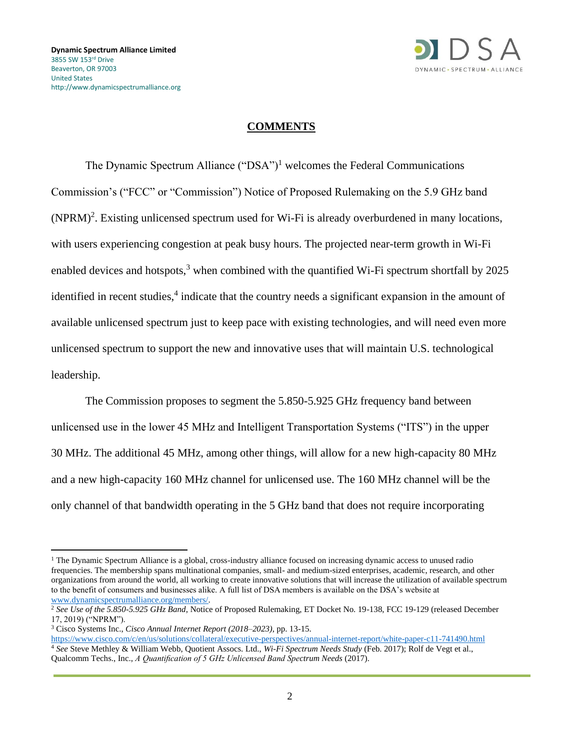

## **COMMENTS**

The Dynamic Spectrum Alliance  $("DSA")$ <sup>1</sup> welcomes the Federal Communications Commission's ("FCC" or "Commission") Notice of Proposed Rulemaking on the 5.9 GHz band  $(NPRM)^2$ . Existing unlicensed spectrum used for Wi-Fi is already overburdened in many locations, with users experiencing congestion at peak busy hours. The projected near-term growth in Wi-Fi enabled devices and hotspots, $3 \times 10^{-3}$  when combined with the quantified Wi-Fi spectrum shortfall by 2025 identified in recent studies,<sup>4</sup> indicate that the country needs a significant expansion in the amount of available unlicensed spectrum just to keep pace with existing technologies, and will need even more unlicensed spectrum to support the new and innovative uses that will maintain U.S. technological leadership.

The Commission proposes to segment the 5.850-5.925 GHz frequency band between unlicensed use in the lower 45 MHz and Intelligent Transportation Systems ("ITS") in the upper 30 MHz. The additional 45 MHz, among other things, will allow for a new high-capacity 80 MHz and a new high-capacity 160 MHz channel for unlicensed use. The 160 MHz channel will be the only channel of that bandwidth operating in the 5 GHz band that does not require incorporating

 $1$  The Dynamic Spectrum Alliance is a global, cross-industry alliance focused on increasing dynamic access to unused radio frequencies. The membership spans multinational companies, small- and medium-sized enterprises, academic, research, and other organizations from around the world, all working to create innovative solutions that will increase the utilization of available spectrum to the benefit of consumers and businesses alike. A full list of DSA members is available on the DSA's website at [www.dynamicspectrumalliance.org/members/.](http://www.dynamicspectrumalliance.org/members/)

<sup>&</sup>lt;sup>2</sup> See Use of the 5.850-5.925 GHz Band, Notice of Proposed Rulemaking, ET Docket No. 19-138, FCC 19-129 (released December 17, 2019) ("NPRM").

<sup>3</sup> Cisco Systems Inc., *Cisco Annual Internet Report (2018–2023)*, pp. 13-15.

<https://www.cisco.com/c/en/us/solutions/collateral/executive-perspectives/annual-internet-report/white-paper-c11-741490.html> <sup>4</sup> *See* Steve Methley & William Webb, Quotient Assocs. Ltd., *Wi-Fi Spectrum Needs Study* (Feb. 2017); Rolf de Vegt et al., Qualcomm Techs., Inc., *A Quantification of 5 GHz Unlicensed Band Spectrum Needs* (2017).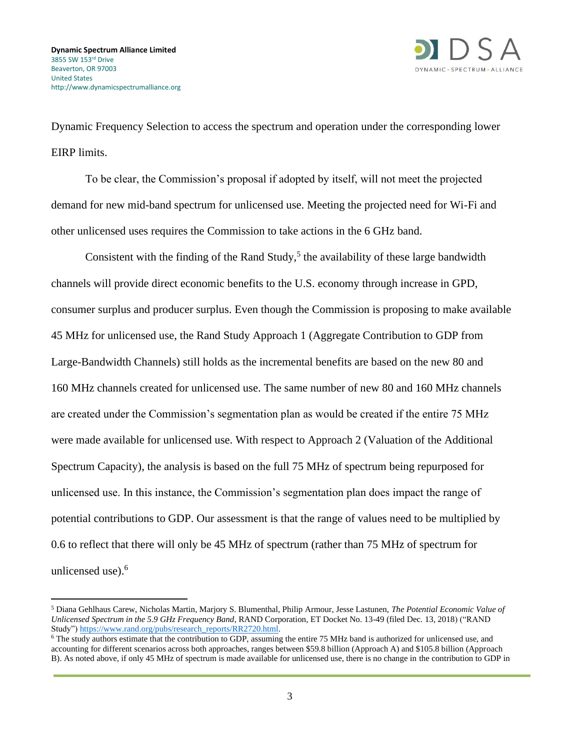

Dynamic Frequency Selection to access the spectrum and operation under the corresponding lower EIRP limits.

To be clear, the Commission's proposal if adopted by itself, will not meet the projected demand for new mid-band spectrum for unlicensed use. Meeting the projected need for Wi-Fi and other unlicensed uses requires the Commission to take actions in the 6 GHz band.

Consistent with the finding of the Rand Study,<sup>5</sup> the availability of these large bandwidth channels will provide direct economic benefits to the U.S. economy through increase in GPD, consumer surplus and producer surplus. Even though the Commission is proposing to make available 45 MHz for unlicensed use, the Rand Study Approach 1 (Aggregate Contribution to GDP from Large-Bandwidth Channels) still holds as the incremental benefits are based on the new 80 and 160 MHz channels created for unlicensed use. The same number of new 80 and 160 MHz channels are created under the Commission's segmentation plan as would be created if the entire 75 MHz were made available for unlicensed use. With respect to Approach 2 (Valuation of the Additional Spectrum Capacity), the analysis is based on the full 75 MHz of spectrum being repurposed for unlicensed use. In this instance, the Commission's segmentation plan does impact the range of potential contributions to GDP. Our assessment is that the range of values need to be multiplied by 0.6 to reflect that there will only be 45 MHz of spectrum (rather than 75 MHz of spectrum for unlicensed use). 6

<sup>5</sup> Diana Gehlhaus Carew, Nicholas Martin, Marjory S. Blumenthal, Philip Armour, Jesse Lastunen, *The Potential Economic Value of Unlicensed Spectrum in the 5.9 GHz Frequency Band*, RAND Corporation, ET Docket No. 13-49 (filed Dec. 13, 2018) ("RAND Study"[\) https://www.rand.org/pubs/research\\_reports/RR2720.html.](https://www.rand.org/pubs/research_reports/RR2720.html)

<sup>6</sup> The study authors estimate that the contribution to GDP, assuming the entire 75 MHz band is authorized for unlicensed use, and accounting for different scenarios across both approaches, ranges between \$59.8 billion (Approach A) and \$105.8 billion (Approach B). As noted above, if only 45 MHz of spectrum is made available for unlicensed use, there is no change in the contribution to GDP in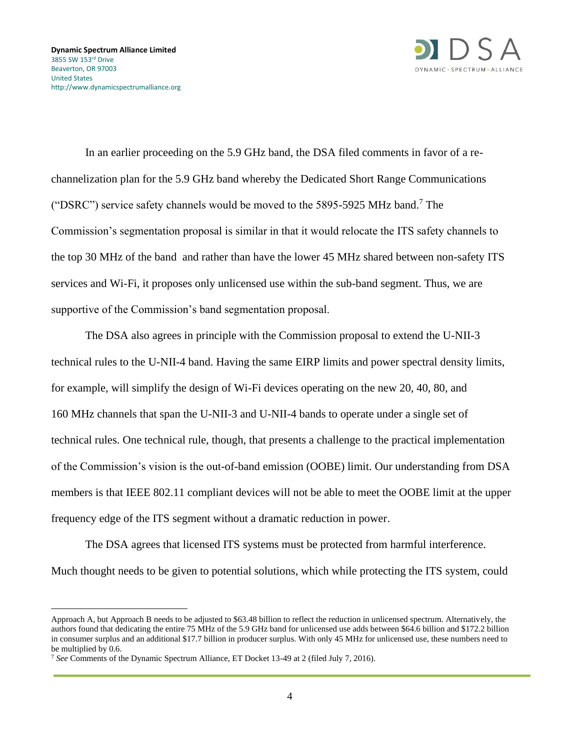

In an earlier proceeding on the 5.9 GHz band, the DSA filed comments in favor of a rechannelization plan for the 5.9 GHz band whereby the Dedicated Short Range Communications ("DSRC") service safety channels would be moved to the  $5895-5925$  MHz band.<sup>7</sup> The Commission's segmentation proposal is similar in that it would relocate the ITS safety channels to the top 30 MHz of the band and rather than have the lower 45 MHz shared between non-safety ITS services and Wi-Fi, it proposes only unlicensed use within the sub-band segment. Thus, we are supportive of the Commission's band segmentation proposal.

The DSA also agrees in principle with the Commission proposal to extend the U-NII-3 technical rules to the U-NII-4 band. Having the same EIRP limits and power spectral density limits, for example, will simplify the design of Wi-Fi devices operating on the new 20, 40, 80, and 160 MHz channels that span the U-NII-3 and U-NII-4 bands to operate under a single set of technical rules. One technical rule, though, that presents a challenge to the practical implementation of the Commission's vision is the out-of-band emission (OOBE) limit. Our understanding from DSA members is that IEEE 802.11 compliant devices will not be able to meet the OOBE limit at the upper frequency edge of the ITS segment without a dramatic reduction in power.

The DSA agrees that licensed ITS systems must be protected from harmful interference. Much thought needs to be given to potential solutions, which while protecting the ITS system, could

Approach A, but Approach B needs to be adjusted to \$63.48 billion to reflect the reduction in unlicensed spectrum. Alternatively, the authors found that dedicating the entire 75 MHz of the 5.9 GHz band for unlicensed use adds between \$64.6 billion and \$172.2 billion in consumer surplus and an additional \$17.7 billion in producer surplus. With only 45 MHz for unlicensed use, these numbers need to be multiplied by 0.6.

<sup>7</sup> *See* Comments of the Dynamic Spectrum Alliance, ET Docket 13-49 at 2 (filed July 7, 2016).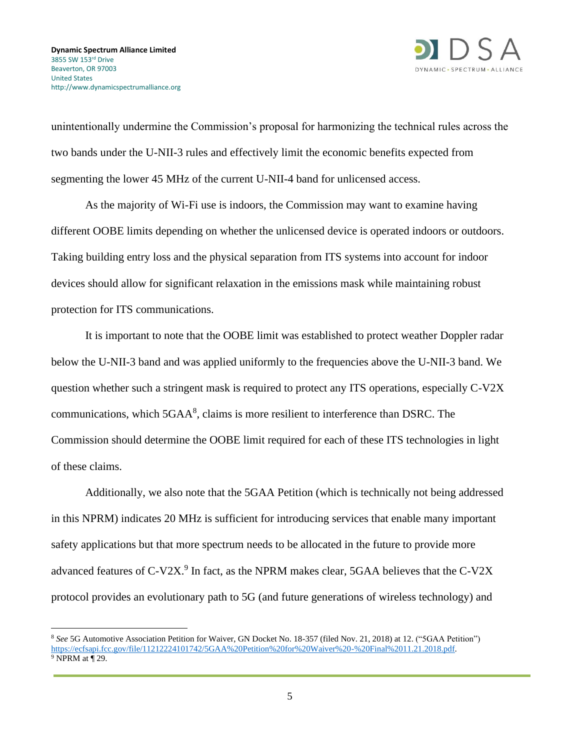

unintentionally undermine the Commission's proposal for harmonizing the technical rules across the two bands under the U-NII-3 rules and effectively limit the economic benefits expected from segmenting the lower 45 MHz of the current U-NII-4 band for unlicensed access.

As the majority of Wi-Fi use is indoors, the Commission may want to examine having different OOBE limits depending on whether the unlicensed device is operated indoors or outdoors. Taking building entry loss and the physical separation from ITS systems into account for indoor devices should allow for significant relaxation in the emissions mask while maintaining robust protection for ITS communications.

It is important to note that the OOBE limit was established to protect weather Doppler radar below the U-NII-3 band and was applied uniformly to the frequencies above the U-NII-3 band. We question whether such a stringent mask is required to protect any ITS operations, especially C-V2X communications, which  $5GAA<sup>8</sup>$ , claims is more resilient to interference than DSRC. The Commission should determine the OOBE limit required for each of these ITS technologies in light of these claims.

Additionally, we also note that the 5GAA Petition (which is technically not being addressed in this NPRM) indicates 20 MHz is sufficient for introducing services that enable many important safety applications but that more spectrum needs to be allocated in the future to provide more advanced features of  $C$ -V2X.<sup>9</sup> In fact, as the NPRM makes clear, 5GAA believes that the  $C$ -V2X protocol provides an evolutionary path to 5G (and future generations of wireless technology) and

<sup>8</sup> *See* 5G Automotive Association Petition for Waiver, GN Docket No. 18-357 (filed Nov. 21, 2018) at 12. ("5GAA Petition") [https://ecfsapi.fcc.gov/file/11212224101742/5GAA%20Petition%20for%20Waiver%20-%20Final%2011.21.2018.pdf.](https://ecfsapi.fcc.gov/file/11212224101742/5GAA%20Petition%20for%20Waiver%20-%20Final%2011.21.2018.pdf) <sup>9</sup> NPRM at ¶ 29.